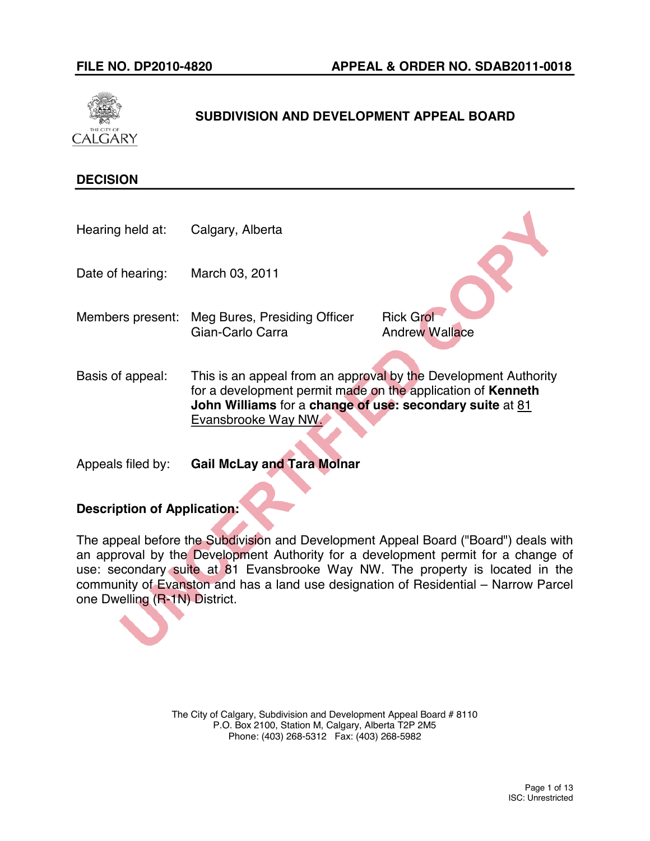

# **SUBDIVISION AND DEVELOPMENT APPEAL BOARD**

# **DECISION**

Hearing held at: Calgary, Alberta

Date of hearing: March 03, 2011

- Members present: Meg Bures, Presiding Officer Rick Grol Gian-Carlo Carra **Andrew Wallace**
- Basis of appeal: This is an appeal from an approval by the Development Authority for a development permit made on the application of **Kenneth John Williams** for a **change of use: secondary suite** at 81 Evansbrooke Way NW.
- Appeals filed by: **Gail McLay and Tara Molnar**

# **Description of Application:**

The appeal before the Subdivision and Development Appeal Board ("Board") deals with an approval by the Development Authority for a development permit for a change of use: secondary suite at 81 Evansbrooke Way NW. The property is located in the community of Evanston and has a land use designation of Residential – Narrow Parcel one Dwelling (R-1N) District.

> The City of Calgary, Subdivision and Development Appeal Board # 8110 P.O. Box 2100, Station M, Calgary, Alberta T2P 2M5 Phone: (403) 268-5312 Fax: (403) 268-5982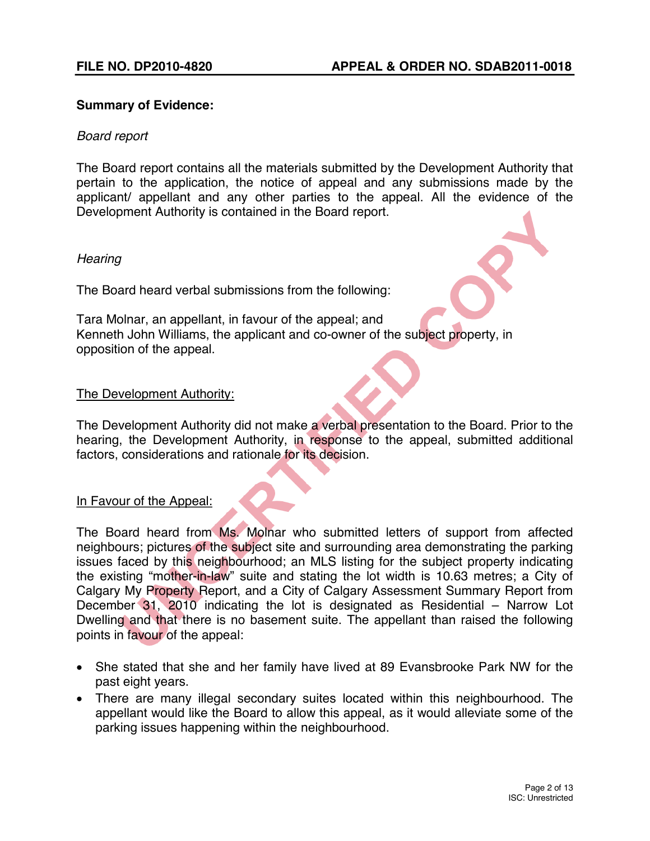# **Summary of Evidence:**

# *Board report*

The Board report contains all the materials submitted by the Development Authority that pertain to the application, the notice of appeal and any submissions made by the applicant/ appellant and any other parties to the appeal. All the evidence of the Development Authority is contained in the Board report.

# *Hearing*

The Board heard verbal submissions from the following:

Tara Molnar, an appellant, in favour of the appeal; and Kenneth John Williams, the applicant and co-owner of the subject property, in opposition of the appeal.

# The Development Authority:

The Development Authority did not make a verbal presentation to the Board. Prior to the hearing, the Development Authority, in response to the appeal, submitted additional factors, considerations and rationale for its decision.

### In Favour of the Appeal:

The Board heard from Ms. Molnar who submitted letters of support from affected neighbours; pictures of the subject site and surrounding area demonstrating the parking issues faced by this neighbourhood; an MLS listing for the subject property indicating the existing "mother-in-law" suite and stating the lot width is 10.63 metres; a City of Calgary My Property Report, and a City of Calgary Assessment Summary Report from December 31, 2010 indicating the lot is designated as Residential – Narrow Lot Dwelling and that there is no basement suite. The appellant than raised the following points in favour of the appeal:

- She stated that she and her family have lived at 89 Evansbrooke Park NW for the past eight years.
- There are many illegal secondary suites located within this neighbourhood. The appellant would like the Board to allow this appeal, as it would alleviate some of the parking issues happening within the neighbourhood.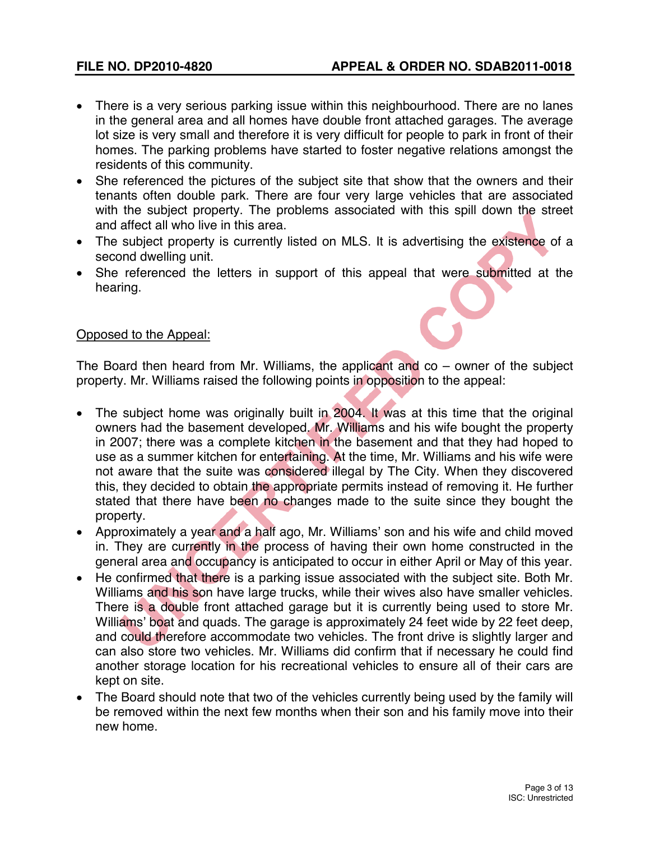- There is a very serious parking issue within this neighbourhood. There are no lanes in the general area and all homes have double front attached garages. The average lot size is very small and therefore it is very difficult for people to park in front of their homes. The parking problems have started to foster negative relations amongst the residents of this community.
- She referenced the pictures of the subject site that show that the owners and their tenants often double park. There are four very large vehicles that are associated with the subject property. The problems associated with this spill down the street and affect all who live in this area.
- The subject property is currently listed on MLS. It is advertising the existence of a second dwelling unit.
- She referenced the letters in support of this appeal that were submitted at the hearing.

# Opposed to the Appeal:

The Board then heard from Mr. Williams, the applicant and co – owner of the subject property. Mr. Williams raised the following points in opposition to the appeal:

- The subject home was originally built in 2004. It was at this time that the original owners had the basement developed. Mr. Williams and his wife bought the property in 2007; there was a complete kitchen in the basement and that they had hoped to use as a summer kitchen for entertaining. At the time, Mr. Williams and his wife were not aware that the suite was considered illegal by The City. When they discovered this, they decided to obtain the appropriate permits instead of removing it. He further stated that there have been no changes made to the suite since they bought the property.
- Approximately a year and a half ago, Mr. Williams' son and his wife and child moved in. They are currently in the process of having their own home constructed in the general area and occupancy is anticipated to occur in either April or May of this year.
- He confirmed that there is a parking issue associated with the subject site. Both Mr. Williams and his son have large trucks, while their wives also have smaller vehicles. There is a double front attached garage but it is currently being used to store Mr. Williams' boat and quads. The garage is approximately 24 feet wide by 22 feet deep, and could therefore accommodate two vehicles. The front drive is slightly larger and can also store two vehicles. Mr. Williams did confirm that if necessary he could find another storage location for his recreational vehicles to ensure all of their cars are kept on site.
- The Board should note that two of the vehicles currently being used by the family will be removed within the next few months when their son and his family move into their new home.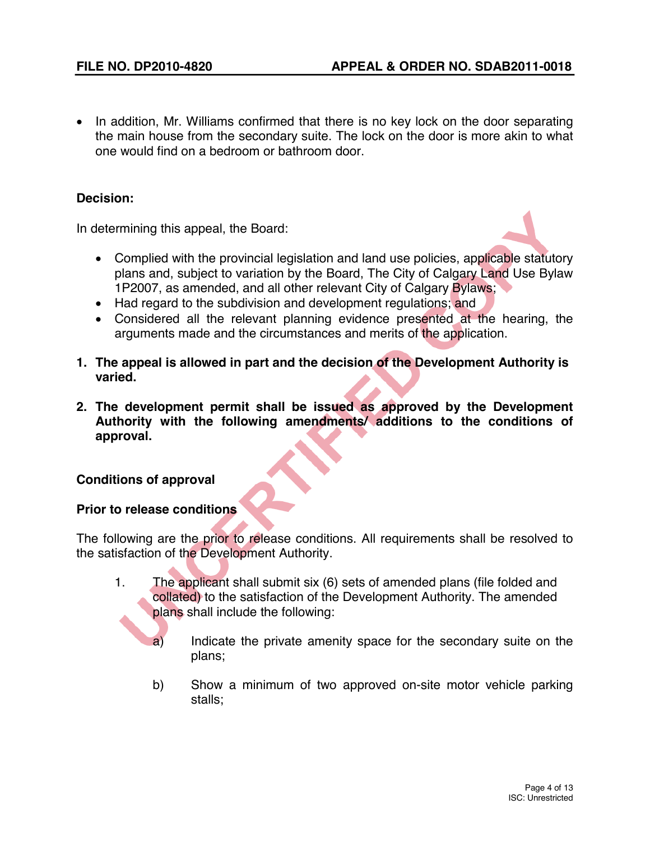• In addition, Mr. Williams confirmed that there is no key lock on the door separating the main house from the secondary suite. The lock on the door is more akin to what one would find on a bedroom or bathroom door.

# **Decision:**

In determining this appeal, the Board:

- Complied with the provincial legislation and land use policies, applicable statutory plans and, subject to variation by the Board, The City of Calgary Land Use Bylaw 1P2007, as amended, and all other relevant City of Calgary Bylaws;
- Had regard to the subdivision and development regulations; and
- Considered all the relevant planning evidence presented at the hearing, the arguments made and the circumstances and merits of the application.
- **1. The appeal is allowed in part and the decision of the Development Authority is varied.**
- **2. The development permit shall be issued as approved by the Development Authority with the following amendments/ additions to the conditions of approval.**

# **Conditions of approval**

# **Prior to release conditions**

The following are the prior to release conditions. All requirements shall be resolved to the satisfaction of the Development Authority.

- 1. The applicant shall submit six (6) sets of amended plans (file folded and collated) to the satisfaction of the Development Authority. The amended plans shall include the following:
	- a) Indicate the private amenity space for the secondary suite on the plans;
	- b) Show a minimum of two approved on-site motor vehicle parking stalls;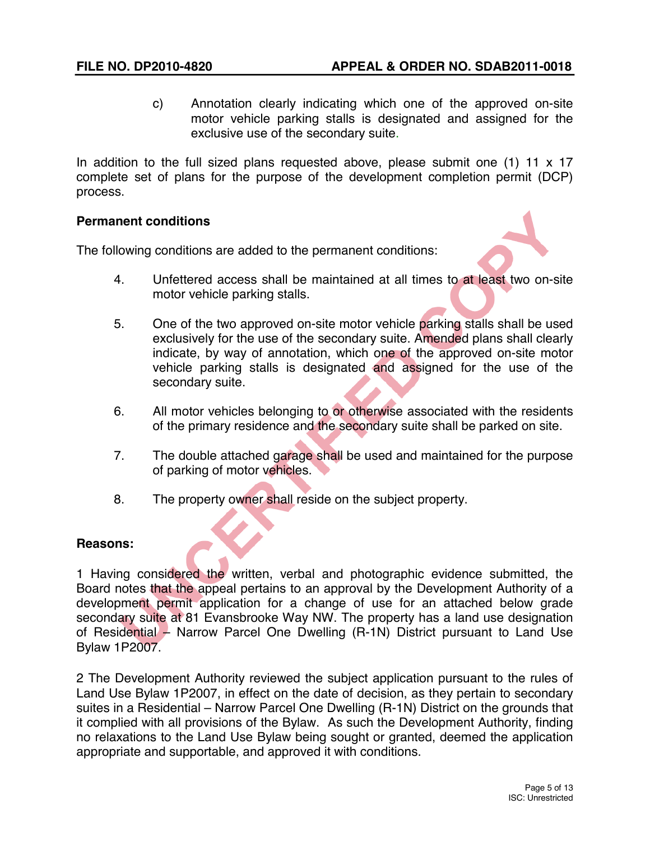c) Annotation clearly indicating which one of the approved on-site motor vehicle parking stalls is designated and assigned for the exclusive use of the secondary suite.

In addition to the full sized plans requested above, please submit one (1) 11 x 17 complete set of plans for the purpose of the development completion permit (DCP) process.

# **Permanent conditions**

The following conditions are added to the permanent conditions:

- 4. Unfettered access shall be maintained at all times to at least two on-site motor vehicle parking stalls.
- 5. One of the two approved on-site motor vehicle parking stalls shall be used exclusively for the use of the secondary suite. Amended plans shall clearly indicate, by way of annotation, which one of the approved on-site motor vehicle parking stalls is designated and assigned for the use of the secondary suite.
- 6. All motor vehicles belonging to or otherwise associated with the residents of the primary residence and the secondary suite shall be parked on site.
- 7. The double attached garage shall be used and maintained for the purpose of parking of motor vehicles.
- 8. The property owner shall reside on the subject property.

# **Reasons:**

1 Having considered the written, verbal and photographic evidence submitted, the Board notes that the appeal pertains to an approval by the Development Authority of a development permit application for a change of use for an attached below grade secondary suite at 81 Evansbrooke Way NW. The property has a land use designation of Residential – Narrow Parcel One Dwelling (R-1N) District pursuant to Land Use Bylaw 1P2007.

2 The Development Authority reviewed the subject application pursuant to the rules of Land Use Bylaw 1P2007, in effect on the date of decision, as they pertain to secondary suites in a Residential – Narrow Parcel One Dwelling (R-1N) District on the grounds that it complied with all provisions of the Bylaw. As such the Development Authority, finding no relaxations to the Land Use Bylaw being sought or granted, deemed the application appropriate and supportable, and approved it with conditions.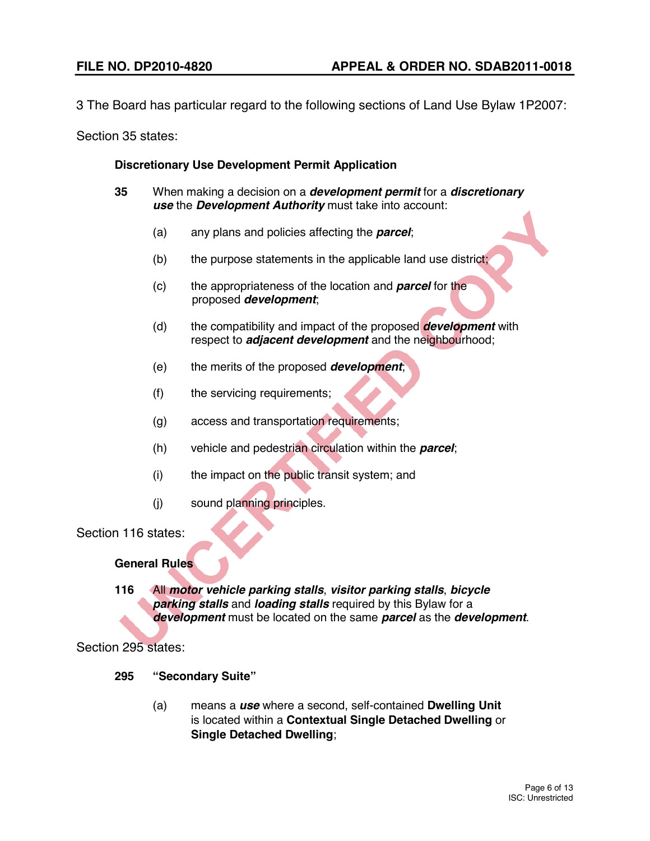3 The Board has particular regard to the following sections of Land Use Bylaw 1P2007:

Section 35 states:

# **Discretionary Use Development Permit Application**

- **35** When making a decision on a *development permit* for a *discretionary use* the *Development Authority* must take into account:
	- (a) any plans and policies affecting the *parcel*;
	- $(b)$  the purpose statements in the applicable land use district;
	- (c) the appropriateness of the location and *parcel* for the proposed *development*;
	- (d) the compatibility and impact of the proposed *development* with respect to *adjacent development* and the neighbourhood;
	- (e) the merits of the proposed *development*;
	- (f) the servicing requirements;
	- (g) access and transportation requirements;
	- (h) vehicle and pedestrian circulation within the *parcel*;
	- (i) the impact on the public transit system; and
	- (j) sound planning principles.

Section 116 states:

### **General Rules**

**116** All *motor vehicle parking stalls*, *visitor parking stalls*, *bicycle parking stalls* and *loading stalls* required by this Bylaw for a *development* must be located on the same *parcel* as the *development*.

Section 295 states:

- **295 "Secondary Suite"**
	- (a) means a *use* where a second, self-contained **Dwelling Unit** is located within a **Contextual Single Detached Dwelling** or **Single Detached Dwelling**;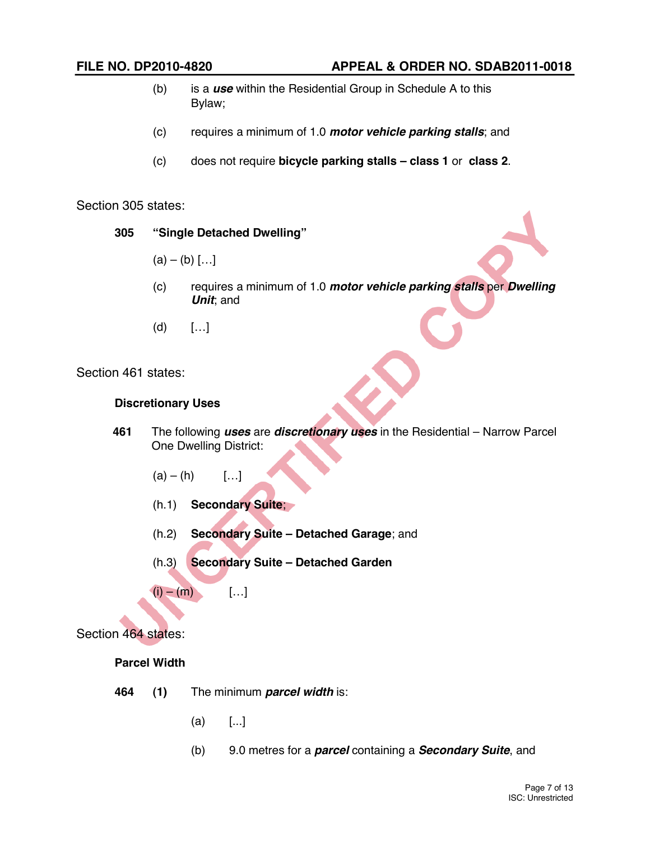- (b) is a *use* within the Residential Group in Schedule A to this Bylaw;
- (c) requires a minimum of 1.0 *motor vehicle parking stalls*; and
- (c) does not require **bicycle parking stalls – class 1** or **class 2**.

Section 305 states:

- **305 "Single Detached Dwelling"**
	- $(a) (b)$  [...]
	- (c) requires a minimum of 1.0 *motor vehicle parking stalls* per *Dwelling Unit*; and
	- $(d)$  [...]

Section 461 states:

### **Discretionary Uses**

- **461** The following *uses* are *discretionary uses* in the Residential Narrow Parcel One Dwelling District:
	- $(a) (h)$  [...]
	- (h.1) **Secondary Suite**;
	- (h.2) **Secondary Suite – Detached Garage**; and
	- (h.3) **Secondary Suite – Detached Garden**
	- $(i) (m)$  […]

Section 464 states:

### **Parcel Width**

- **464 (1)** The minimum *parcel width* is:
	- (a) [...]
	- (b) 9.0 metres for a *parcel* containing a *Secondary Suite*, and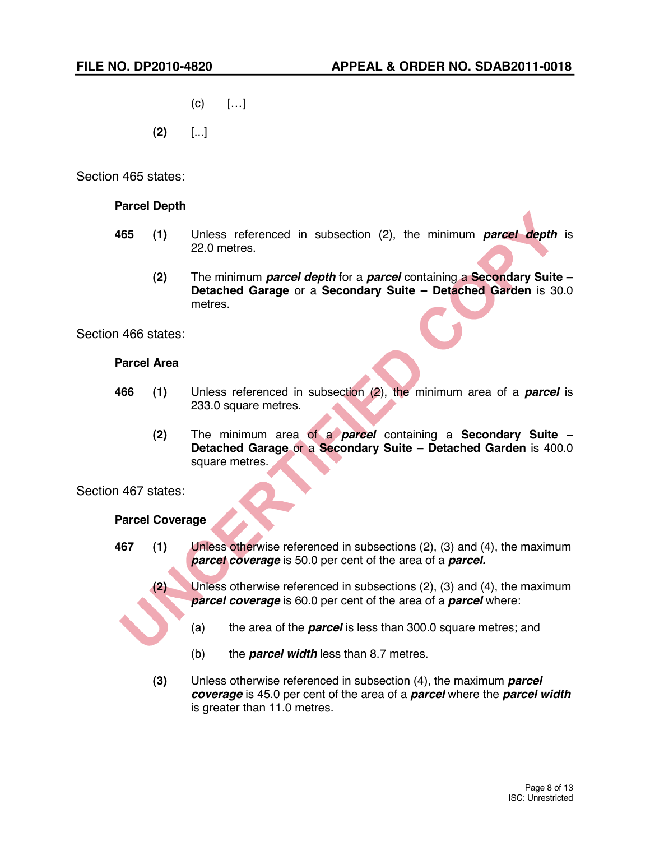- $(c)$  [...]
- **(2)** [...]

Section 465 states:

# **Parcel Depth**

- **465 (1)** Unless referenced in subsection (2), the minimum *parcel depth* is 22.0 metres.
	- **(2)** The minimum *parcel depth* for a *parcel* containing a **Secondary Suite – Detached Garage** or a **Secondary Suite – Detached Garden** is 30.0 metres.

Section 466 states:

# **Parcel Area**

- **466 (1)** Unless referenced in subsection (2), the minimum area of a *parcel* is 233.0 square metres.
	- **(2)** The minimum area of a *parcel* containing a **Secondary Suite – Detached Garage** or a **Secondary Suite – Detached Garden** is 400.0 square metres.

Section 467 states:

### **Parcel Coverage**

- **467 (1)** Unless otherwise referenced in subsections (2), (3) and (4), the maximum *parcel coverage* is 50.0 per cent of the area of a *parcel.*
	- **(2)** Unless otherwise referenced in subsections (2), (3) and (4), the maximum *parcel coverage* is 60.0 per cent of the area of a *parcel* where:
		- (a) the area of the *parcel* is less than 300.0 square metres; and
		- (b) the *parcel width* less than 8.7 metres.
	- **(3)** Unless otherwise referenced in subsection (4), the maximum *parcel coverage* is 45.0 per cent of the area of a *parcel* where the *parcel width* is greater than 11.0 metres.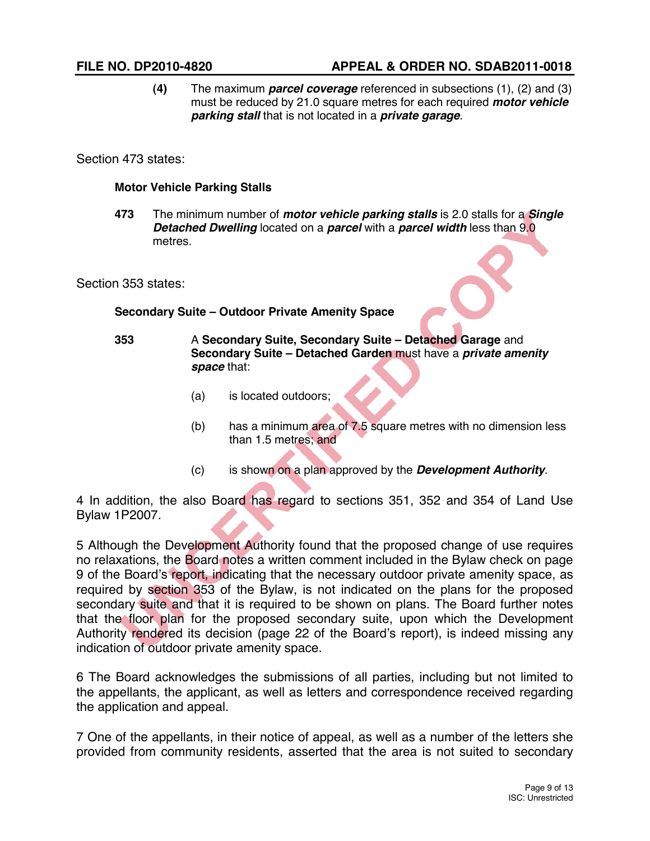**(4)** The maximum *parcel coverage* referenced in subsections (1), (2) and (3) must be reduced by 21.0 square metres for each required *motor vehicle parking stall* that is not located in a *private garage*.

Section 473 states:

### **Motor Vehicle Parking Stalls**

**473** The minimum number of *motor vehicle parking stalls* is 2.0 stalls for a *Single Detached Dwelling* located on a *parcel* with a *parcel width* less than 9.0 metres.

Section 353 states:

# **Secondary Suite – Outdoor Private Amenity Space**

**353** A **Secondary Suite, Secondary Suite – Detached Garage** and **Secondary Suite – Detached Garden** must have a *private amenity space* that:

- (a) is located outdoors;
- (b) has a minimum area of 7.5 square metres with no dimension less than 1.5 metres; and
- (c) is shown on a plan approved by the *Development Authority*.

4 In addition, the also Board has regard to sections 351, 352 and 354 of Land Use Bylaw 1P2007.

5 Although the Development Authority found that the proposed change of use requires no relaxations, the Board notes a written comment included in the Bylaw check on page 9 of the Board's report, indicating that the necessary outdoor private amenity space, as required by section 353 of the Bylaw, is not indicated on the plans for the proposed secondary suite and that it is required to be shown on plans. The Board further notes that the floor plan for the proposed secondary suite, upon which the Development Authority rendered its decision (page 22 of the Board's report), is indeed missing any indication of outdoor private amenity space.

6 The Board acknowledges the submissions of all parties, including but not limited to the appellants, the applicant, as well as letters and correspondence received regarding the application and appeal.

7 One of the appellants, in their notice of appeal, as well as a number of the letters she provided from community residents, asserted that the area is not suited to secondary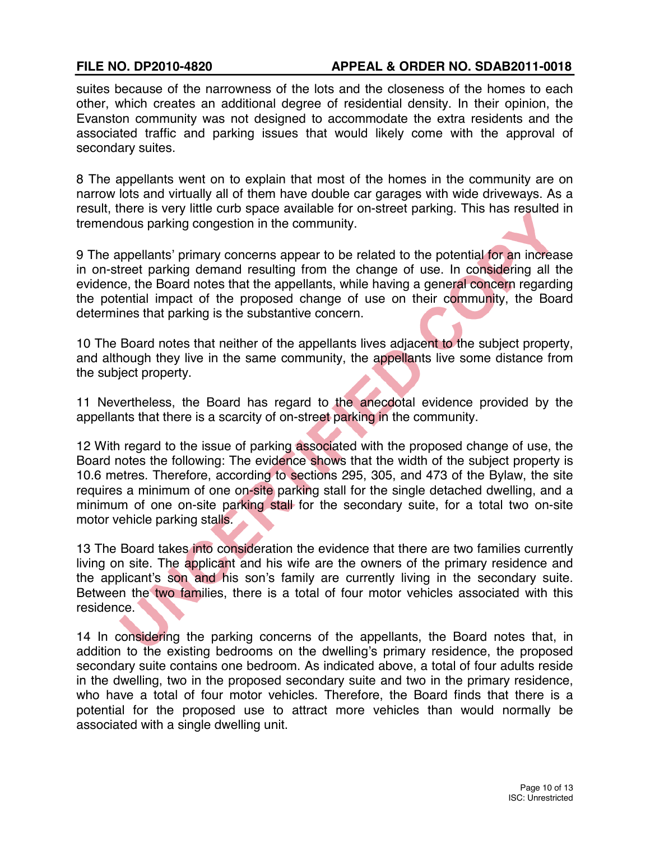suites because of the narrowness of the lots and the closeness of the homes to each other, which creates an additional degree of residential density. In their opinion, the Evanston community was not designed to accommodate the extra residents and the associated traffic and parking issues that would likely come with the approval of secondary suites.

8 The appellants went on to explain that most of the homes in the community are on narrow lots and virtually all of them have double car garages with wide driveways. As a result, there is very little curb space available for on-street parking. This has resulted in tremendous parking congestion in the community.

9 The appellants' primary concerns appear to be related to the potential for an increase in on-street parking demand resulting from the change of use. In considering all the evidence, the Board notes that the appellants, while having a general concern regarding the potential impact of the proposed change of use on their community, the Board determines that parking is the substantive concern.

10 The Board notes that neither of the appellants lives adjacent to the subject property, and although they live in the same community, the appellants live some distance from the subject property.

11 Nevertheless, the Board has regard to the anecdotal evidence provided by the appellants that there is a scarcity of on-street parking in the community.

12 With regard to the issue of parking associated with the proposed change of use, the Board notes the following: The evidence shows that the width of the subject property is 10.6 metres. Therefore, according to sections 295, 305, and 473 of the Bylaw, the site requires a minimum of one on-site parking stall for the single detached dwelling, and a minimum of one on-site parking stall for the secondary suite, for a total two on-site motor vehicle parking stalls.

13 The Board takes into consideration the evidence that there are two families currently living on site. The applicant and his wife are the owners of the primary residence and the applicant's son and his son's family are currently living in the secondary suite. Between the two families, there is a total of four motor vehicles associated with this residence.

14 In considering the parking concerns of the appellants, the Board notes that, in addition to the existing bedrooms on the dwelling's primary residence, the proposed secondary suite contains one bedroom. As indicated above, a total of four adults reside in the dwelling, two in the proposed secondary suite and two in the primary residence, who have a total of four motor vehicles. Therefore, the Board finds that there is a potential for the proposed use to attract more vehicles than would normally be associated with a single dwelling unit.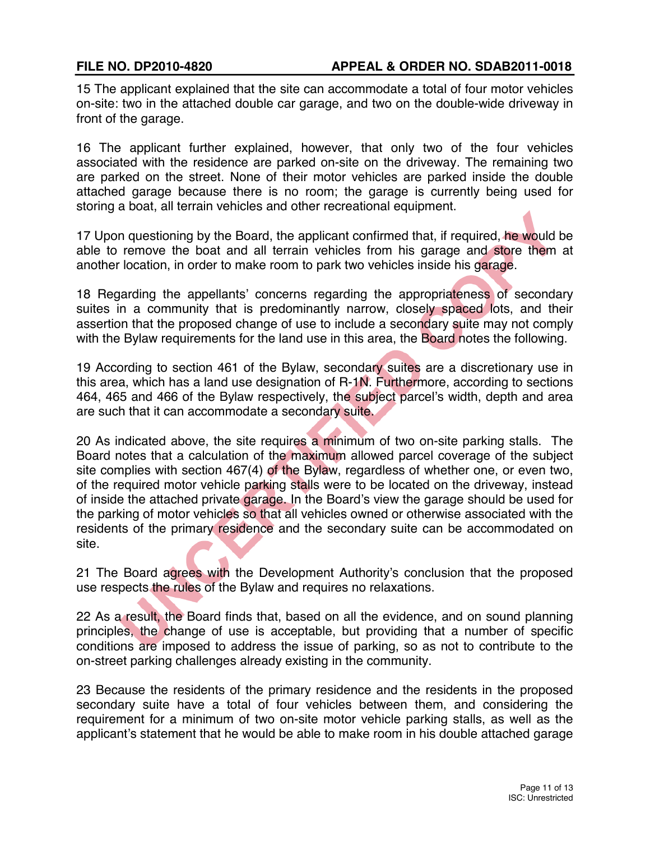15 The applicant explained that the site can accommodate a total of four motor vehicles on-site: two in the attached double car garage, and two on the double-wide driveway in front of the garage.

16 The applicant further explained, however, that only two of the four vehicles associated with the residence are parked on-site on the driveway. The remaining two are parked on the street. None of their motor vehicles are parked inside the double attached garage because there is no room; the garage is currently being used for storing a boat, all terrain vehicles and other recreational equipment.

17 Upon questioning by the Board, the applicant confirmed that, if required, he would be able to remove the boat and all terrain vehicles from his garage and store them at another location, in order to make room to park two vehicles inside his garage.

18 Regarding the appellants' concerns regarding the appropriateness of secondary suites in a community that is predominantly narrow, closely spaced lots, and their assertion that the proposed change of use to include a secondary suite may not comply with the Bylaw requirements for the land use in this area, the Board notes the following.

19 According to section 461 of the Bylaw, secondary suites are a discretionary use in this area, which has a land use designation of R-1N. Furthermore, according to sections 464, 465 and 466 of the Bylaw respectively, the subject parcel's width, depth and area are such that it can accommodate a secondary suite.

20 As indicated above, the site requires a minimum of two on-site parking stalls. The Board notes that a calculation of the maximum allowed parcel coverage of the subject site complies with section 467(4) of the Bylaw, regardless of whether one, or even two, of the required motor vehicle parking stalls were to be located on the driveway, instead of inside the attached private garage. In the Board's view the garage should be used for the parking of motor vehicles so that all vehicles owned or otherwise associated with the residents of the primary residence and the secondary suite can be accommodated on site.

21 The Board agrees with the Development Authority's conclusion that the proposed use respects the rules of the Bylaw and requires no relaxations.

22 As a result, the Board finds that, based on all the evidence, and on sound planning principles, the change of use is acceptable, but providing that a number of specific conditions are imposed to address the issue of parking, so as not to contribute to the on-street parking challenges already existing in the community.

23 Because the residents of the primary residence and the residents in the proposed secondary suite have a total of four vehicles between them, and considering the requirement for a minimum of two on-site motor vehicle parking stalls, as well as the applicant's statement that he would be able to make room in his double attached garage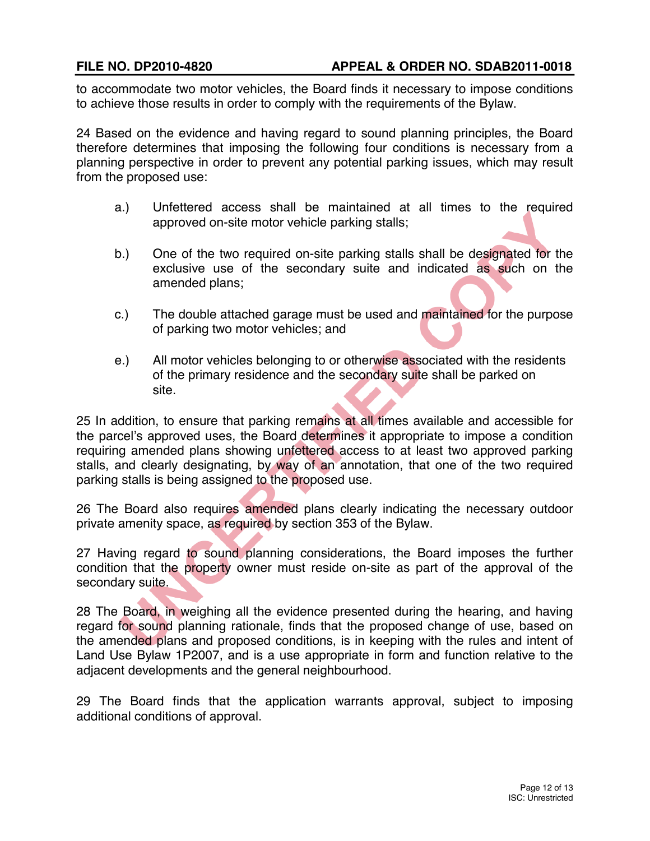to accommodate two motor vehicles, the Board finds it necessary to impose conditions to achieve those results in order to comply with the requirements of the Bylaw.

24 Based on the evidence and having regard to sound planning principles, the Board therefore determines that imposing the following four conditions is necessary from a planning perspective in order to prevent any potential parking issues, which may result from the proposed use:

- a.) Unfettered access shall be maintained at all times to the required approved on-site motor vehicle parking stalls;
- b.) One of the two required on-site parking stalls shall be designated for the exclusive use of the secondary suite and indicated as such on the amended plans;
- c.) The double attached garage must be used and maintained for the purpose of parking two motor vehicles; and
- e.) All motor vehicles belonging to or otherwise associated with the residents of the primary residence and the secondary suite shall be parked on site.

25 In addition, to ensure that parking remains at all times available and accessible for the parcel's approved uses, the Board determines it appropriate to impose a condition requiring amended plans showing unfettered access to at least two approved parking stalls, and clearly designating, by way of an annotation, that one of the two required parking stalls is being assigned to the proposed use.

26 The Board also requires amended plans clearly indicating the necessary outdoor private amenity space, as required by section 353 of the Bylaw.

27 Having regard to sound planning considerations, the Board imposes the further condition that the property owner must reside on-site as part of the approval of the secondary suite.

28 The Board, in weighing all the evidence presented during the hearing, and having regard for sound planning rationale, finds that the proposed change of use, based on the amended plans and proposed conditions, is in keeping with the rules and intent of Land Use Bylaw 1P2007, and is a use appropriate in form and function relative to the adjacent developments and the general neighbourhood.

29 The Board finds that the application warrants approval, subject to imposing additional conditions of approval.